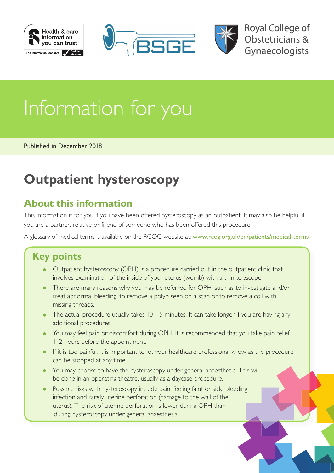





**Royal College of** Obstetricians & Gynaecologists

# Information for you

Published in December 2018

# **Outpatient hysteroscopy**

### **About this information**

This information is for you if you have been offered hysteroscopy as an outpatient. It may also be helpful if you are a partner, relative or friend of someone who has been offered this procedure.

A glossary of medical terms is available on the RCOG website at: [www.rcog.org.uk/en/patients/medical-terms](http://www.rcog.org.uk/en/patients/medical-terms).

### **Key points**

- Outpatient hysteroscopy (OPH) is a procedure carried out in the outpatient clinic that involves examination of the inside of your uterus (womb) with a thin telescope.
- There are many reasons why you may be referred for OPH, such as to investigate and/or treat abnormal bleeding, to remove a polyp seen on a scan or to remove a coil with missing threads.
- The actual procedure usually takes 10–15 minutes. It can take longer if you are having any additional procedures.
- You may feel pain or discomfort during OPH. It is recommended that you take pain relief 1–2 hours before the appointment.
- If it is too painful, it is important to let your healthcare professional know as the procedure can be stopped at any time.
- You may choose to have the hysteroscopy under general anaesthetic. This will be done in an operating theatre, usually as a daycase procedure.
- Possible risks with hysteroscopy include pain, feeling faint or sick, bleeding, infection and rarely uterine perforation (damage to the wall of the uterus). The risk of uterine perforation is lower during OPH than during hysteroscopy under general anaesthesia.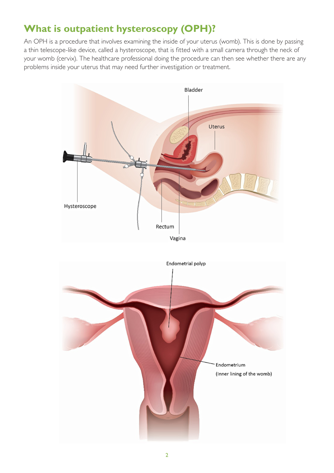### **What is outpatient hysteroscopy (OPH)?**

An OPH is a procedure that involves examining the inside of your uterus (womb). This is done by passing a thin telescope-like device, called a hysteroscope, that is fitted with a small camera through the neck of your womb (cervix). The healthcare professional doing the procedure can then see whether there are any problems inside your uterus that may need further investigation or treatment.

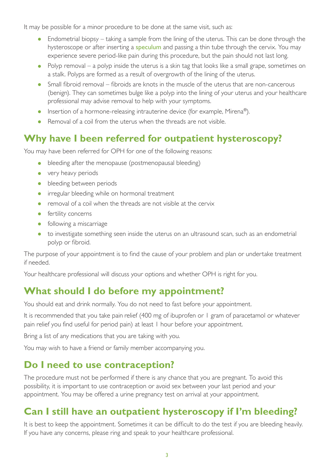It may be possible for a minor procedure to be done at the same visit, such as:

- Endometrial biopsy taking a sample from the lining of the uterus. This can be done through the hysteroscope or after inserting a **speculum** and passing a thin tube through the cervix. You may experience severe period-like pain during this procedure, but the pain should not last long.
- Polyp removal a polyp inside the uterus is a skin tag that looks like a small grape, sometimes on a stalk. Polyps are formed as a result of overgrowth of the lining of the uterus.
- Small fibroid removal fibroids are knots in the muscle of the uterus that are non-cancerous (benign). They can sometimes bulge like a polyp into the lining of your uterus and your healthcare professional may advise removal to help with your symptoms.
- Insertion of a hormone-releasing intrauterine device (for example, Mirena<sup>®</sup>).
- Removal of a coil from the uterus when the threads are not visible.

### **Why have I been referred for outpatient hysteroscopy?**

You may have been referred for OPH for one of the following reasons:

- bleeding after the menopause (postmenopausal bleeding)
- very heavy periods
- bleeding between periods
- irregular bleeding while on hormonal treatment
- removal of a coil when the threads are not visible at the cervix
- **•** fertility concerns
- following a miscarriage
- to investigate something seen inside the uterus on an ultrasound scan, such as an endometrial polyp or fibroid.

The purpose of your appointment is to find the cause of your problem and plan or undertake treatment if needed.

Your healthcare professional will discuss your options and whether OPH is right for you.

### **What should I do before my appointment?**

You should eat and drink normally. You do not need to fast before your appointment.

It is recommended that you take pain relief (400 mg of ibuprofen or 1 gram of paracetamol or whatever pain relief you find useful for period pain) at least 1 hour before your appointment.

Bring a list of any medications that you are taking with you.

You may wish to have a friend or family member accompanying you.

### **Do I need to use contraception?**

The procedure must not be performed if there is any chance that you are pregnant. To avoid this possibility, it is important to use contraception or avoid sex between your last period and your appointment. You may be offered a urine pregnancy test on arrival at your appointment.

### **Can I still have an outpatient hysteroscopy if I'm bleeding?**

It is best to keep the appointment. Sometimes it can be difficult to do the test if you are bleeding heavily. If you have any concerns, please ring and speak to your healthcare professional.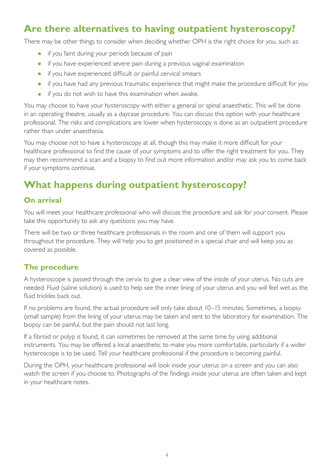### **Are there alternatives to having outpatient hysteroscopy?**

There may be other things to consider when deciding whether OPH is the right choice for you, such as:

- if you faint during your periods because of pain
- if you have experienced severe pain during a previous vaginal examination
- if you have experienced difficult or painful cervical smears
- if you have had any previous traumatic experience that might make the procedure difficult for you
- if you do not wish to have this examination when awake.

You may choose to have your hysteroscopy with either a general or spinal anaesthetic. This will be done in an operating theatre, usually as a daycase procedure. You can discuss this option with your healthcare professional. The risks and complications are lower when hysteroscopy is done as an outpatient procedure rather than under anaesthesia.

You may choose not to have a hysteroscopy at all, though this may make it more difficult for your healthcare professional to find the cause of your symptoms and to offer the right treatment for you. They may then recommend a scan and a biopsy to find out more information and/or may ask you to come back if your symptoms continue.

### **What happens during outpatient hysteroscopy?**

#### **On arrival**

You will meet your healthcare professional who will discuss the procedure and ask for your consent. Please take this opportunity to ask any questions you may have.

There will be two or three healthcare professionals in the room and one of them will support you throughout the procedure. They will help you to get positioned in a special chair and will keep you as covered as possible.

#### **The procedure**

A hysteroscope is passed through the cervix to give a clear view of the inside of your uterus. No cuts are needed. Fluid (saline solution) is used to help see the inner lining of your uterus and you will feel wet as the fluid trickles back out.

If no problems are found, the actual procedure will only take about 10–15 minutes. Sometimes, a biopsy (small sample) from the lining of your uterus may be taken and sent to the laboratory for examination. The biopsy can be painful, but the pain should not last long.

If a fibroid or polyp is found, it can sometimes be removed at the same time by using additional instruments. You may be offered a local anaesthetic to make you more comfortable, particularly if a wider hysteroscope is to be used. Tell your healthcare professional if the procedure is becoming painful.

During the OPH, your healthcare professional will look inside your uterus on a screen and you can also watch the screen if you choose to. Photographs of the findings inside your uterus are often taken and kept in your healthcare notes.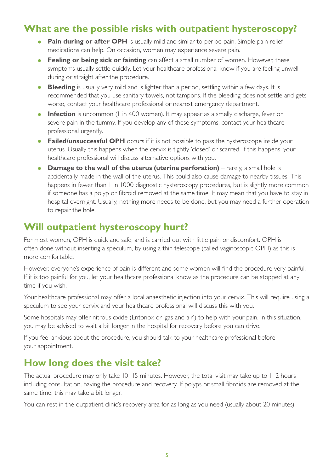### **What are the possible risks with outpatient hysteroscopy?**

- **Pain during or after OPH** is usually mild and similar to period pain. Simple pain relief medications can help. On occasion, women may experience severe pain.
- **Feeling or being sick or fainting** can affect a small number of women. However, these symptoms usually settle quickly. Let your healthcare professional know if you are feeling unwell during or straight after the procedure.
- **Bleeding** is usually very mild and is lighter than a period, settling within a few days. It is recommended that you use sanitary towels, not tampons. If the bleeding does not settle and gets worse, contact your healthcare professional or nearest emergency department.
- **Infection** is uncommon (1 in <sup>400</sup> women). It may appear as a smelly discharge, fever or severe pain in the tummy. If you develop any of these symptoms, contact your healthcare professional urgently.
- **Failed/unsuccessful OPH** occurs if it is not possible to pass the hysteroscope inside your uterus. Usually this happens when the cervix is tightly 'closed' or scarred. If this happens, your healthcare professional will discuss alternative options with you.
- **Damage to the wall of the uterus (uterine perforation)** rarely, a small hole is accidentally made in the wall of the uterus. This could also cause damage to nearby tissues. This happens in fewer than 1 in 1000 diagnostic hysteroscopy procedures, but is slightly more common if someone has a polyp or fibroid removed at the same time. It may mean that you have to stay in hospital overnight. Usually, nothing more needs to be done, but you may need a further operation to repair the hole.

### **Will outpatient hysteroscopy hurt?**

For most women, OPH is quick and safe, and is carried out with little pain or discomfort. OPH is often done without inserting a speculum, by using a thin telescope (called vaginoscopic OPH) as this is more comfortable.

However, everyone's experience of pain is different and some women will find the procedure very painful. If it is too painful for you, let your healthcare professional know as the procedure can be stopped at any time if you wish.

Your healthcare professional may offer a local anaesthetic injection into your cervix. This will require using a speculum to see your cervix and your healthcare professional will discuss this with you.

Some hospitals may offer nitrous oxide (Entonox or 'gas and air') to help with your pain. In this situation, you may be advised to wait a bit longer in the hospital for recovery before you can drive.

If you feel anxious about the procedure, you should talk to your healthcare professional before your appointment.

### **How long does the visit take?**

The actual procedure may only take 10–15 minutes. However, the total visit may take up to 1–2 hours including consultation, having the procedure and recovery. If polyps or small fibroids are removed at the same time, this may take a bit longer.

You can rest in the outpatient clinic's recovery area for as long as you need (usually about 20 minutes).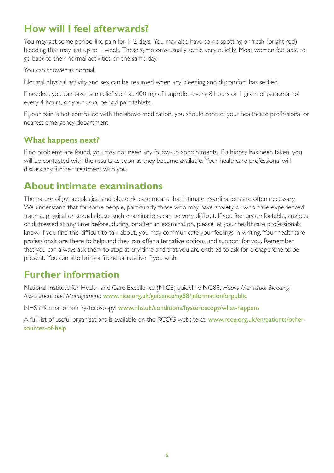### **How will I feel afterwards?**

You may get some period-like pain for 1–2 days. You may also have some spotting or fresh (bright red) bleeding that may last up to 1 week. These symptoms usually settle very quickly. Most women feel able to go back to their normal activities on the same day.

You can shower as normal.

Normal physical activity and sex can be resumed when any bleeding and discomfort has settled.

If needed, you can take pain relief such as 400 mg of ibuprofen every 8 hours or 1 gram of paracetamol every 4 hours, or your usual period pain tablets.

If your pain is not controlled with the above medication, you should contact your healthcare professional or nearest emergency department.

#### **What happens next?**

If no problems are found, you may not need any follow-up appointments. If a biopsy has been taken, you will be contacted with the results as soon as they become available. Your healthcare professional will discuss any further treatment with you.

### **About intimate examinations**

The nature of gynaecological and obstetric care means that intimate examinations are often necessary. We understand that for some people, particularly those who may have anxiety or who have experienced trauma, physical or sexual abuse, such examinations can be very difficult. If you feel uncomfortable, anxious or distressed at any time before, during, or after an examination, please let your healthcare professionals know. If you find this difficult to talk about, you may communicate your feelings in writing. Your healthcare professionals are there to help and they can offer alternative options and support for you. Remember that you can always ask them to stop at any time and that you are entitled to ask for a chaperone to be present. You can also bring a friend or relative if you wish.

### **Further information**

National Institute for Health and Care Excellence (NICE) guideline NG88, *Heavy Menstrual Bleeding: Assessment and Management*: [www.nice.org.uk/guidance/ng88/informationforpublic](https://www.nice.org.uk/guidance/ng88/informationforpublic)

NHS information on hysteroscopy: [www.nhs.uk/conditions/hysteroscopy/what-happens](https://www.nhs.uk/conditions/hysteroscopy/what-happens/)

A full list of useful organisations is available on the RCOG website at: [www.rcog.org.uk/en/patients/other](https://www.rcog.org.uk/en/patients/other-sources-of-help/)[sources-of-help](https://www.rcog.org.uk/en/patients/other-sources-of-help/)